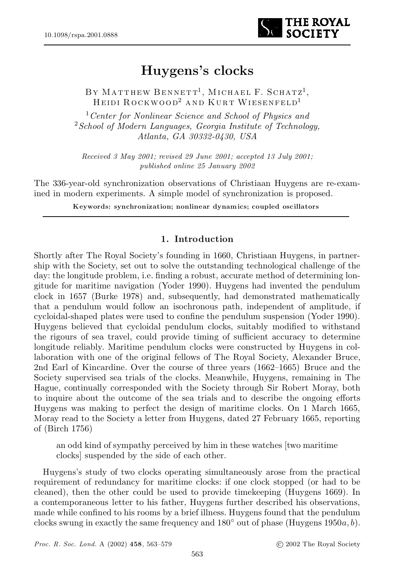

# Huygens's clocks

BY MATTHEW BENNETT<sup>1</sup>, MICHAEL F. SCHATZ<sup>1</sup>, Heidi Rockwood <sup>2</sup> a nd Kurt Wiesenfeld 1

<sup>1</sup>*Center for Nonlinear Science and School of Physics and* <sup>2</sup>*School of Modern Languages, Georgia Institute of Technology, Atlanta, GA 30332-0430, USA*

*Received 3 May 2001; revised 29 June 2001; accepted 13 July 2001; published online 25 January 2002*

The 336-year-old synchronization observations of Christiaan Huygens are re-examined in modern experiments. A simple model of synchronization is proposed.

Keywords: synchronization; nonlinear dynamics; coupled oscillators

# 1. Introduction

Shortly after The Royal Society's founding in 1660, Christiaan Huygens, in partnership with the Society, set out to solve the outstanding technological challenge of the day: the longitude problem, i.e. finding a robust, accurate method of determining longitude for maritime navigation (Yoder 1990). Huygens had invented the pendulum clock in 1657 (Burke 1978) and, subsequently, had demonstrated mathematically that a pendulum would follow an isochronous path, independent of amplitude, if cycloidal-shaped plates were used to confine the pendulum suspension (Yoder 1990). Huygens believed that cycloidal pendulum clocks, suitably modified to withstand the rigours of sea travel, could provide timing of sufficient accuracy to determine longitude reliably. Maritime pendulum clocks were constructed by Huygens in collaboration with one of the original fellows of The Royal Society, Alexander Bruce, 2nd Earl of Kincardine. Over the course of three years  $(1662{\text -}1665)$  Bruce and the Society supervised sea trials of the clocks. Meanwhile, Huygens, remaining in The Hague, continually corresponded with the Society through Sir Robert Moray, both to inquire about the outcome of the sea trials and to describe the ongoing efforts Huygens was making to perfect the design of maritime clocks. On 1 March 1665, Moray read to the Society a letter from Huygens, dated 27 February 1665, reporting of (Birch 1756)

an odd kind of sympathy perceived by him in these watches [two maritime clocks] suspended by the side of each other.

Huygens's study of two clocks operating simultaneously arose from the practical requirement of redundancy for maritime clocks: if one clock stopped (or had to be cleaned), then the other could be used to provide timekeeping (Huygens 1669). In a contemporaneous letter to his father, Huygens further described his observations, made while confined to his rooms by a brief illness. Huygens found that the pendulum clocks swung in exactly the same frequency and  $180^{\circ}$  out of phase (Huygens  $1950a, b$ ).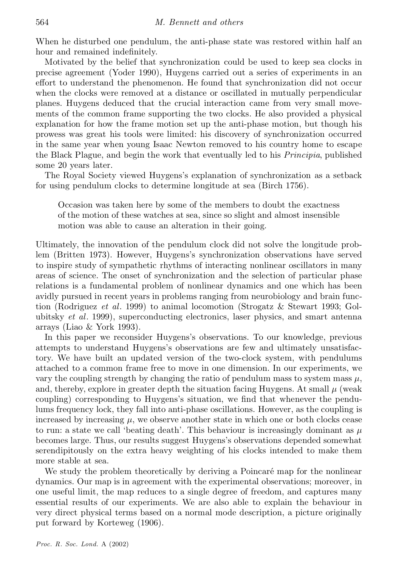When he disturbed one pendulum, the anti-phase state was restored within half an hour and remained indefinitely.

Motivated by the belief that synchronization could be used to keep sea clocks in precise agreement (Yoder 1990), Huygens carried out a series of experiments in an effort to understand the phenomenon. He found that synchronization did not occur when the clocks were removed at a distance or oscillated in mutually perpendicular planes. Huygens deduced that the crucial interaction came from very small movements of the common frame supporting the two clocks. He also provided a physical explanation for how the frame motion set up the anti-phase motion, but though his prowess was great his tools were limited: his discovery of synchronization occurred in the same year when young Isaac Newton removed to his country home to escape the Black Plague, and begin the work that eventually led to his *Principia*, published some 20 years later.

The Royal Society viewed Huygens's explanation of synchronization as a setback for using pendulum clocks to determine longitude at sea (Birch 1756).

Occasion was taken here by some of the members to doubt the exactness of the motion of these watches at sea, since so slight and almost insensible motion was able to cause an alteration in their going.

Ultimately, the innovation of the pendulum clock did not solve the longitude problem (Britten 1973). However, Huygens's synchronization observations have served to inspire study of sympathetic rhythms of interacting nonlinear oscillators in many areas of science. The onset of synchronization and the selection of particular phase relations is a fundamental problem of nonlinear dynamics and one which has been avidly pursued in recent years in problems ranging from neurobiology and brain function (Rodriguez *et al*. 1999) to animal locomotion (Strogatz & Stewart 1993; Golubitsky *et al*. 1999), superconducting electronics, laser physics, and smart antenna arrays (Liao & York 1993).

In this paper we reconsider Huygens's observations. To our knowledge, previous attempts to understand Huygens's observations are few and ultimately unsatisfactory. We have built an updated version of the two-clock system, with pendulums attached to a common frame free to move in one dimension. In our experiments, we vary the coupling strength by changing the ratio of pendulum mass to system mass  $\mu$ , and, thereby, explore in greater depth the situation facing Huygens. At small  $\mu$  (weak coupling) corresponding to Huygens's situation, we find that whenever the pendulums frequency lock, they fall into anti-phase oscillations. However, as the coupling is increased by increasing  $\mu$ , we observe another state in which one or both clocks cease to run: a state we call 'beating death'. This behaviour is increasingly dominant as  $\mu$ becomes large. Thus, our results suggest Huygens's observations depended somewhat serendipitously on the extra heavy weighting of his clocks intended to make them more stable at sea.

We study the problem theoretically by deriving a Poincaré map for the nonlinear dynamics. Our map is in agreement with the experimental observations; moreover, in one useful limit, the map reduces to a single degree of freedom, and captures many essential results of our experiments. We are also able to explain the behaviour in very direct physical terms based on a normal mode description, a picture originally put forward by Korteweg (1906).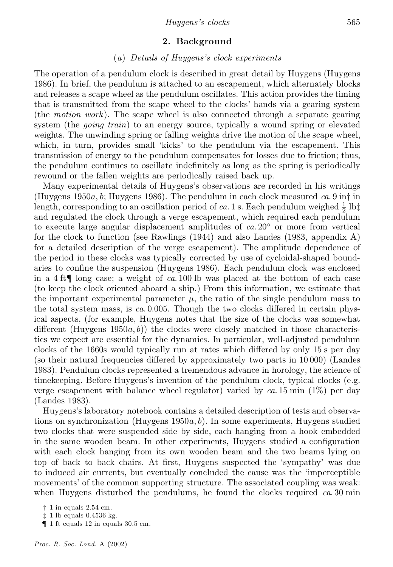# 2. Background

# (*a*) *Details of Huygens's clock experiments*

The operation of a pendulum clock is described in great detail by Huygens (Huygens 1986). In brief, the pendulum is attached to an escapement, which alternately blocks and releases a scape wheel as the pendulum oscillates. This action provides the timing that is transmitted from the scape wheel to the clocks' hands via a gearing system (the *motion work* ). The scape wheel is also connected through a separate gearing system (the *going train*) to an energy source, typically a wound spring or elevated weights. The unwinding spring or falling weights drive the motion of the scape wheel, which, in turn, provides small 'kicks' to the pendulum via the escapement. This transmission of energy to the pendulum compensates for losses due to friction; thus, the pendulum continues to oscillate indefinitely as long as the spring is periodically rewound or the fallen weights are periodically raised back up.

Many experimental details of Huygens's observations are recorded in his writings (Huygens  $1950a, b$ ; Huygens  $1986$ ). The pendulum in each clock measured *ca*. 9 in in length, corresponding to an oscillation period of *ca*. 1 s. Each pendulum weighed  $\frac{1}{2}$  lb‡  $\frac{1}{2}$  is and regulated the clock through a verge escapement, which required each pendulum to execute large angular displacement amplitudes of  $ca. 20<sup>°</sup>$  or more from vertical for the clock to function (see Rawlings (1944) and also Landes (1983, appendix A) for a detailed description of the verge escapement). The amplitude dependence of the period in these clocks was typically corrected by use of cycloidal-shaped boundaries to confine the suspension (Huygens 1986). Each pendulum clock was enclosed in a 4 ft{ long case; a weight of *ca*. 100 lb was placed at the bottom of each case (to keep the clock oriented aboard a ship.) From this information, we estimate that the important experimental parameter  $\mu$ , the ratio of the single pendulum mass to the total system mass, is  $ca. 0.005$ . Though the two clocks differed in certain physical aspects, (for example, Huygens notes that the size of the clocks was somewhat different (Huygens  $1950a, b$ ) the clocks were closely matched in those characteristics we expect are essential for the dynamics. In particular, well-adjusted pendulum clocks of the 1660s would typically run at rates which differed by only 15 s per day (so their natural frequencies differed by approximately two parts in  $10\,000$ ) (Landes 1983). Pendulum clocks represented a tremendous advance in horology, the science of timekeeping. Before Huygens's invention of the pendulum clock, typical clocks (e.g. verge escapement with balance wheel regulator) varied by *ca*. 15 min (1%) per day (Landes 1983).

Huygens's laboratory notebook contains a detailed description of tests and observations on synchronization (Huygens  $1950a, b$ ). In some experiments, Huygens studied two clocks that were suspended side by side, each hanging from a hook embedded in the same wooden beam. In other experiments, Huygens studied a configuration with each clock hanging from its own wooden beam and the two beams lying on top of back to back chairs. At first, Huygens suspected the 'sympathy' was due to induced air currents, but eventually concluded the cause was the `imperceptible movements' of the common supporting structure. The associated coupling was weak: when Huygens disturbed the pendulums, he found the clocks required *ca*. 30 min

 $\dagger$  1 in equals 2.54 cm.

 $\ddagger$  1 lb equals 0.4536 kg.

 ${\bf 1}$  1 ft equals 12 in equals 30.5 cm.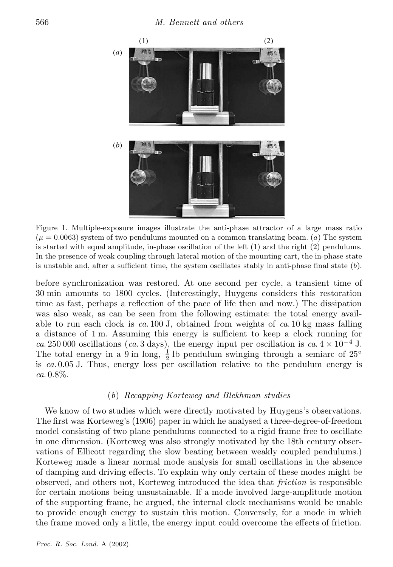

Figure 1. Multiple-exposure images illustrate the anti-phase attractor of a large mass ratio  $(\mu = 0.0063)$  system of two pendulums mounted on a common translating beam. (a) The system is started with equal amplitude, in-phase oscillation of the left (1) and the right (2) pendulums. In the presence of weak coupling through lateral motion of the mounting cart, the in-phase state is unstable and, after a sufficient time, the system oscillates stably in anti-phase final state  $(b)$ .

before synchronization was restored. At one second per cycle, a transient time of 30 min amounts to 1800 cycles. (Interestingly, Huygens considers this restoration time as fast, perhaps a reflection of the pace of life then and now.) The dissipation was also weak, as can be seen from the following estimate: the total energy available to run each clock is *ca*. 100 J, obtained from weights of *ca*. 10 kg mass falling a distance of  $1 \text{ m}$ . Assuming this energy is sufficient to keep a clock running for *ca*. 250 000 oscillations (*ca*. 3 days), the energy input per oscillation is *ca*.  $4 \times 10^{-4}$  J. The total energy in a 9 in long,  $\frac{1}{2}$  lb pendulum swinging through a semiarc of 25<sup>o</sup> is *ca*. 0.05 J. Thus, energy loss per oscillation relative to the pendulum energy is *ca*. 0.8%.

## (*b*) *Recapping Korteweg and Blekhman studies*

We know of two studies which were directly motivated by Huygens's observations. The first was Korteweg's (1906) paper in which he analysed a three-degree-of-freedom model consisting of two plane pendulums connected to a rigid frame free to oscillate in one dimension. (Korteweg was also strongly motivated by the 18th century observations of Ellicott regarding the slow beating between weakly coupled pendulums.) Korteweg made a linear normal mode analysis for small oscillations in the absence of damping and driving effects. To explain why only certain of these modes might be observed, and others not, Korteweg introduced the idea that *friction* is responsible for certain motions being unsustainable. If a mode involved large-amplitude motion of the supporting frame, he argued, the internal clock mechanisms would be unable to provide enough energy to sustain this motion. Conversely, for a mode in which the frame moved only a little, the energy input could overcome the effects of friction.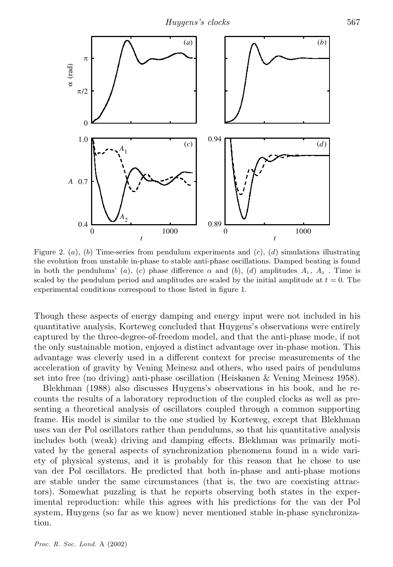

Figure 2. (a), (b) Time-series from pendulum experiments and  $(c)$ , (d) simulations illustrating the evolution from unstable in-phase to stable anti-phase oscillations. Damped beating is found in both the pendulums' (a), (c) phase difference  $\alpha$  and (b), (d) amplitudes  $A_1, A_2$ . Time is scaled by the pendulum period and amplitudes are scaled by the initial amplitude at  $t = 0$ . The experimental conditions correspond to those listed in figure 1.

Though these aspects of energy damping and energy input were not included in his quantitative analysis, Korteweg concluded that Huygens's observations were entirely captured by the three-degree-of-freedom model, and that the anti-phase mode, if not the only sustainable motion, enjoyed a distinct advantage over in-phase motion. This advantage was cleverly used in a different context for precise measurements of the acceleration of gravity by Vening Meinesz and others, who used pairs of pendulums set into free (no driving) anti-phase oscillation (Heiskanen & Vening Meinesz 1958).

Blekhman (1988) also discusses Huygens's observations in his book, and he recounts the results of a laboratory reproduction of the coupled clocks as well as presenting a theoretical analysis of oscillators coupled through a common supporting frame. His model is similar to the one studied by Korteweg, except that Blekhman uses van der Pol oscillators rather than pendulums, so that his quantitative analysis includes both (weak) driving and damping effects. Blekhman was primarily motivated by the general aspects of synchronization phenomena found in a wide variety of physical systems, and it is probably for this reason that he chose to use van der Pol oscillators. He predicted that both in-phase and anti-phase motions are stable under the same circumstances (that is, the two are coexisting attractors). Somewhat puzzling is that he reports observing both states in the experimental reproduction: while this agrees with his predictions for the van der Pol system, Huygens (so far as we know) never mentioned stable in-phase synchronization.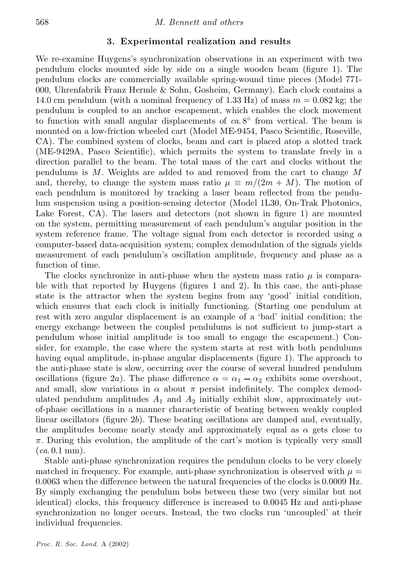## 3. Experimental realization and results

We re-examine Huygens's synchronization observations in an experiment with two pendulum clocks mounted side by side on a single wooden beam (figure 1). The pendulum clocks are commercially available spring-wound time pieces (Model 771- 000, Uhrenfabrik Franz Hermle & Sohn, Gosheim, Germany). Each clock contains a 14.0 cm pendulum (with a nominal frequency of 1.33 Hz) of mass  $m = 0.082$  kg; the pendulum is coupled to an anchor escapement, which enables the clock movement to function with small angular displacements of  $ca. 8^{\circ}$  from vertical. The beam is mounted on a low-friction wheeled cart (Model ME-9454, Pasco Scientific, Roseville, CA). The combined system of clocks, beam and cart is placed atop a slotted track  $(ME-9429A,$  Pasco Scientific), which permits the system to translate freely in a direction parallel to the beam. The total mass of the cart and clocks without the pendulums is  $M$ . Weights are added to and removed from the cart to change  $M$ and, thereby, to change the system mass ratio  $\mu \equiv m/(2m + M)$ . The motion of each pendulum is monitored by tracking a laser beam reflected from the pendulum suspension using a position-sensing detector (Model 1L30, On-Trak Photonics, Lake Forest,  $CA$ ). The lasers and detectors (not shown in figure 1) are mounted on the system, permitting measurement of each pendulum's angular position in the system reference frame. The voltage signal from each detector is recorded using a computer-based data-acquisition system; complex demodulation of the signals yields measurement of each pendulum's oscillation amplitude, frequency and phase as a function of time.

The clocks synchronize in anti-phase when the system mass ratio  $\mu$  is comparable with that reported by Huygens (figures 1 and 2). In this case, the anti-phase state is the attractor when the system begins from any 'good' initial condition, which ensures that each clock is initially functioning. (Starting one pendulum at rest with zero angular displacement is an example of a `bad' initial condition; the energy exchange between the coupled pendulums is not sufficient to jump-start a pendulum whose initial amplitude is too small to engage the escapement.) Consider, for example, the case where the system starts at rest with both pendulums having equal amplitude, in-phase angular displacements (figure 1). The approach to the anti-phase state is slow, occurring over the course of several hundred pendulum oscillations (figure 2a). The phase difference  $\alpha = \alpha_1 - \alpha_2$  exhibits some overshoot, and small, slow variations in  $\alpha$  about  $\pi$  persist indefinitely. The complex demodulated pendulum amplitudes  $A_1$  and  $A_2$  initially exhibit slow, approximately outof-phase oscillations in a manner characteristic of beating between weakly coupled linear oscillators (figure  $2b$ ). These beating oscillations are damped and, eventually, the amplitudes become nearly steady and approximately equal as  $\alpha$  gets close to  $\pi$ . During this evolution, the amplitude of the cart's motion is typically very small (*ca*. 0.1 mm).

Stable anti-phase synchronization requires the pendulum clocks to be very closely matched in frequency. For example, anti-phase synchronization is observed with  $\mu =$  $0.0063$  when the difference between the natural frequencies of the clocks is  $0.0009$  Hz. By simply exchanging the pendulum bobs between these two (very similar but not identical) clocks, this frequency difference is increased to  $0.0045$  Hz and anti-phase synchronization no longer occurs. Instead, the two clocks run `uncoupled' at their individual frequencies.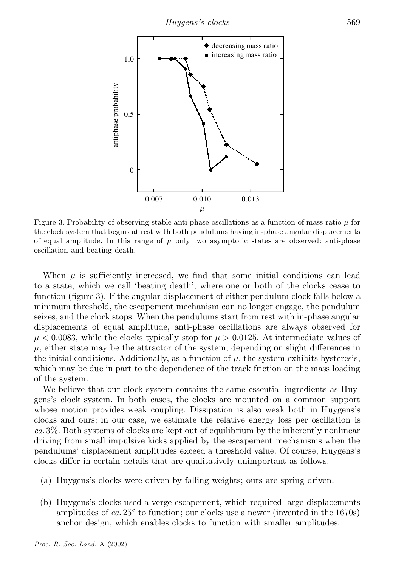

Figure 3. Probability of observing stable anti-phase oscillations as a function of mass ratio  $\mu$  for the clock system that begins at rest with both pendulums having in-phase angular displacements of equal amplitude. In this range of  $\mu$  only two asymptotic states are observed: anti-phase oscillation and beating death.

When  $\mu$  is sufficiently increased, we find that some initial conditions can lead to a state, which we call `beating death', where one or both of the clocks cease to function (figure 3). If the angular displacement of either pendulum clock falls below a minimum threshold, the escapement mechanism can no longer engage, the pendulum seizes, and the clock stops. When the pendulums start from rest with in-phase angular displacements of equal amplitude, anti-phase oscillations are always observed for  $\mu$  < 0.0083, while the clocks typically stop for  $\mu > 0.0125$ . At intermediate values of  $\mu$ , either state may be the attractor of the system, depending on slight differences in the initial conditions. Additionally, as a function of  $\mu$ , the system exhibits hysteresis, which may be due in part to the dependence of the track friction on the mass loading of the system.

We believe that our clock system contains the same essential ingredients as Huygens's clock system. In both cases, the clocks are mounted on a common support whose motion provides weak coupling. Dissipation is also weak both in Huygens's clocks and ours; in our case, we estimate the relative energy loss per oscillation is *ca*. 3%. Both systems of clocks are kept out of equilibrium by the inherently nonlinear driving from small impulsive kicks applied by the escapement mechanisms when the pendulums' displacement amplitudes exceed a threshold value. Of course, Huygens's clocks differ in certain details that are qualitatively unimportant as follows.

- (a) Huygens's clocks were driven by falling weights; ours are spring driven.
- (b) Huygens's clocks used a verge escapement, which required large displacements amplitudes of  $ca. 25^{\circ}$  to function; our clocks use a newer (invented in the 1670s) anchor design, which enables clocks to function with smaller amplitudes.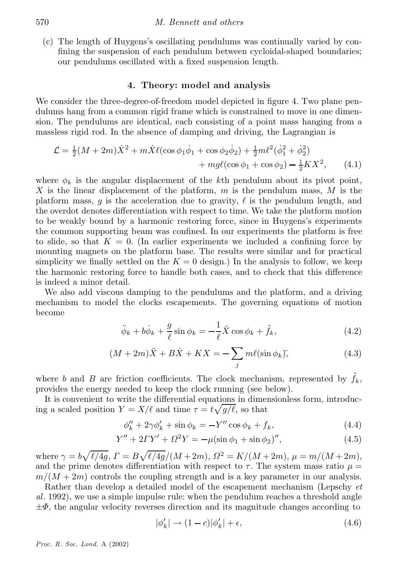(c) The length of Huygens's oscillating pendulums was continually varied by con fining the suspension of each pendulum between cycloidal-shaped boundaries; our pendulums oscillated with a fixed suspension length.

# 4. Theory: model and analysis

We consider the three-degree-of-freedom model depicted in figure 4. Two plane pendulums hang from a common rigid frame which is constrained to move in one dimension. The pendulums are identical, each consisting of a point mass hanging from a massless rigid rod. In the absence of damping and driving, the Lagrangian is

$$
\mathcal{L} = \frac{1}{2}(M + 2m)\dot{X}^2 + m\dot{X}\ell(\cos\phi_1\dot{\phi}_1 + \cos\phi_2\dot{\phi}_2) + \frac{1}{2}m\ell^2(\dot{\phi}_1^2 + \dot{\phi}_2^2) + mg\ell(\cos\phi_1 + \cos\phi_2) - \frac{1}{2}KX^2,
$$
(4.1)

where  $\phi_k$  is the angular displacement of the kth pendulum about its pivot point, X is the linear displacement of the platform,  $m$  is the pendulum mass,  $M$  is the platform mass, q is the acceleration due to gravity,  $\ell$  is the pendulum length, and the overdot denotes differentiation with respect to time. We take the platform motion to be weakly bound by a harmonic restoring force, since in Huygens's experiments the common supporting beam was confined. In our experiments the platform is free to slide, so that  $K = 0$ . (In earlier experiments we included a confining force by mounting magnets on the platform base. The results were similar and for practical simplicity we finally settled on the  $K = 0$  design.) In the analysis to follow, we keep the harmonic restoring force to handle both cases, and to check that this difference is indeed a minor detail.

We also add viscous damping to the pendulums and the platform, and a driving mechanism to model the clocks escapements. The governing equations of motion become

$$
\ddot{\phi}_k + b\dot{\phi}_k + \frac{g}{\ell}\sin\phi_k = -\frac{1}{\ell}\ddot{X}\cos\phi_k + \tilde{f}_k,
$$
\n(4.2)

$$
(M+2m)\ddot{X} + B\dot{X} + KX = -\sum_{j} m\ell(\sin\phi_k); \qquad (4.3)
$$

where b and B are friction coefficients. The clock mechanism, represented by  $f_k$ , provides the energy needed to keep the clock running (see below).

It is convenient to write the differential equations in dimensionless form, introducing a scaled position  $Y = X/\ell$  and time  $\tau = t\sqrt{g/\ell}$ , so that

$$
\phi_k'' + 2\gamma \phi_k' + \sin \phi_k = -Y'' \cos \phi_k + f_k,\tag{4.4}
$$

$$
Y'' + 2TY' + \Omega^2 Y = -\mu(\sin \phi_1 + \sin \phi_2)''
$$
\n(4.5)

where  $\gamma = b\sqrt{\ell/4g}, \Gamma = B\sqrt{\ell/4g}/(M+2m), \Omega^2 = K/(M+2m), \mu = m/(M+2m),$ and the prime denotes differentiation with respect to  $\tau$ . The system mass ratio  $\mu =$  $m/(M + 2m)$  controls the coupling strength and is a key parameter in our analysis.

Rather than develop a detailed model of the escapement mechanism (Lepschy *et al*. 1992), we use a simple impulse rule: when the pendulum reaches a threshold angle  $\pm\Phi$ , the angular velocity reverses direction and its magnitude changes according to

$$
|\phi_k'|\to(1-c)|\phi_k'|+\epsilon,\t\t(4.6)
$$

*Proc. R. Soc. Lond.* A (2002)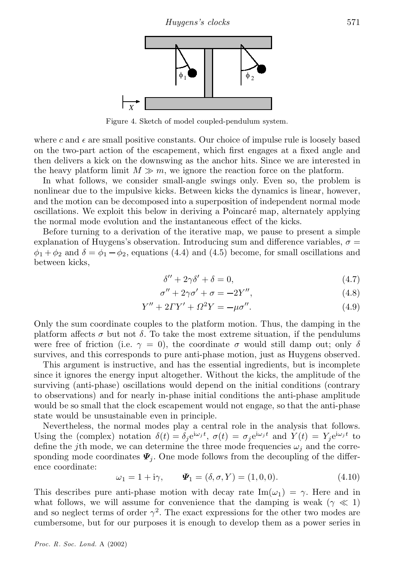

Figure 4. Sketch of model coupled-pendulum system.

where c and  $\epsilon$  are small positive constants. Our choice of impulse rule is loosely based on the two-part action of the escapement, which first engages at a fixed angle and then delivers a kick on the downswing as the anchor hits. Since we are interested in the heavy platform limit  $M \gg m$ , we ignore the reaction force on the platform.

In what follows, we consider small-angle swings only. Even so, the problem is nonlinear due to the impulsive kicks. Between kicks the dynamics is linear, however, and the motion can be decomposed into a superposition of independent normal mode oscillations. We exploit this below in deriving a Poincaré map, alternately applying the normal mode evolution and the instantaneous effect of the kicks.

Before turning to a derivation of the iterative map, we pause to present a simple explanation of Huygens's observation. Introducing sum and difference variables,  $\sigma =$  $\phi_1 + \phi_2$  and  $\delta = \phi_1 - \phi_2$ , equations (4.4) and (4.5) become, for small oscillations and between kicks,

$$
\delta'' + 2\gamma \delta' + \delta = 0,\tag{4.7}
$$

$$
\sigma'' + 2\gamma \sigma' + \sigma = -2Y'',\tag{4.8}
$$

$$
Y'' + 2\Gamma Y' + \Omega^2 Y = -\mu \sigma''. \tag{4.9}
$$

Only the sum coordinate couples to the platform motion. Thus, the damping in the platform affects  $\sigma$  but not  $\delta$ . To take the most extreme situation, if the pendulums were free of friction (i.e.  $\gamma = 0$ ), the coordinate  $\sigma$  would still damp out; only  $\delta$ survives, and this corresponds to pure anti-phase motion, just as Huygens observed.

This argument is instructive, and has the essential ingredients, but is incomplete since it ignores the energy input altogether. Without the kicks, the amplitude of the surviving (anti-phase) oscillations would depend on the initial conditions (contrary to observations) and for nearly in-phase initial conditions the anti-phase amplitude would be so small that the clock escapement would not engage, so that the anti-phase state would be unsustainable even in principle.

Nevertheless, the normal modes play a central role in the analysis that follows. Using the (complex) notation  $\delta(t) = \delta_j e^{i\omega_j t}$ ,  $\sigma(t) = \sigma_j e^{i\omega_j t}$  and  $Y(t) = Y_j e^{i\omega_j t}$  to define the jth mode, we can determine the three mode frequencies  $\omega_i$  and the corresponding mode coordinates  $\mathbf{\Psi}_j$ . One mode follows from the decoupling of the difference coordinate:

 $\omega_1 = 1 + i\gamma, \quad \Psi_1 = (\delta, \sigma, Y) = (1, 0, 0).$ (4.10)

This describes pure anti-phase motion with decay rate  $\text{Im}(\omega_1) = \gamma$ . Here and in what follows, we will assume for convenience that the damping is weak ( $\gamma \ll 1$ ) and so neglect terms of order  $\gamma^2$ . The exact expressions for the other two modes are cumbersome, but for our purposes it is enough to develop them as a power series in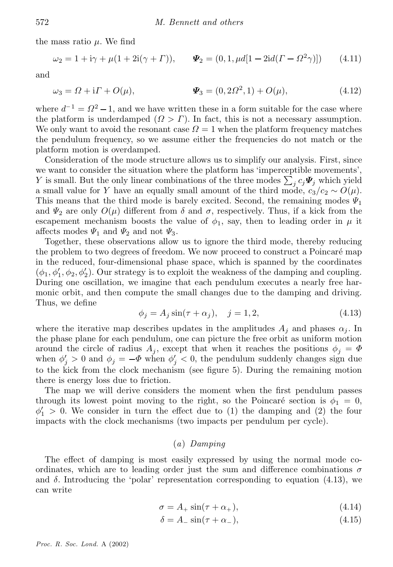the mass ratio  $\mu$ . We find

$$
\omega_2 = 1 + i\gamma + \mu(1 + 2i(\gamma + \Gamma)), \qquad \Psi_2 = (0, 1, \mu d[1 - 2id(\Gamma - \Omega^2 \gamma)]) \tag{4.11}
$$

and

$$
\omega_3 = \Omega + i\Gamma + O(\mu), \qquad \Psi_3 = (0, 2\Omega^2, 1) + O(\mu), \qquad (4.12)
$$

where  $d^{-1} = \Omega^2 - 1$ , and we have written these in a form suitable for the case where the platform is underdamped  $(Q > \Gamma)$ . In fact, this is not a necessary assumption. We only want to avoid the resonant case  $\Omega = 1$  when the platform frequency matches the pendulum frequency, so we assume either the frequencies do not match or the platform motion is overdamped.

Consideration of the mode structure allows us to simplify our analysis. First, since we want to consider the situation where the platform has 'imperceptible movements', Y is small. But the only linear combinations of the three modes  $\sum_j c_j \Psi_j$  which yield a small value for Y have an equally small amount of the third mode,  $c_3/c_2 \sim O(\mu)$ . This means that the third mode is barely excited. Second, the remaining modes  $\Psi_1$ and  $\Psi_2$  are only  $O(\mu)$  different from  $\delta$  and  $\sigma$ , respectively. Thus, if a kick from the escapement mechanism boosts the value of  $\phi_1$ , say, then to leading order in  $\mu$  it affects modes  $\Psi_1$  and  $\Psi_2$  and not  $\Psi_3$ .

Together, these observations allow us to ignore the third mode, thereby reducing the problem to two degrees of freedom. We now proceed to construct a Poincaré map in the reduced, four-dimensional phase space, which is spanned by the coordinates  $(\phi_1, \phi'_1, \phi_2, \phi'_2)$ . Our strategy is to exploit the weakness of the damping and coupling. During one oscillation, we imagine that each pendulum executes a nearly free harmonic orbit, and then compute the small changes due to the damping and driving. Thus, we define

$$
\phi_j = A_j \sin(\tau + \alpha_j), \quad j = 1, 2,
$$
\n(4.13)

where the iterative map describes updates in the amplitudes  $A_i$  and phases  $\alpha_i$ . In the phase plane for each pendulum, one can picture the free orbit as uniform motion around the circle of radius  $A_j$ , except that when it reaches the positions  $\phi_j = \Phi$ when  $\phi'_j > 0$  and  $\phi_j = -\Phi$  when  $\phi'_j < 0$ , the pendulum suddenly changes sign due to the kick from the clock mechanism (see figure 5). During the remaining motion there is energy loss due to friction.

The map we will derive considers the moment when the first pendulum passes through its lowest point moving to the right, so the Poincaré section is  $\phi_1 = 0$ ,  $\phi'_1 > 0$ . We consider in turn the effect due to (1) the damping and (2) the four impacts with the clock mechanisms (two impacts per pendulum per cycle).

#### (*a*) *Damping*

The effect of damping is most easily expressed by using the normal mode coordinates, which are to leading order just the sum and difference combinations  $\sigma$ and  $\delta$ . Introducing the 'polar' representation corresponding to equation (4.13), we can write

$$
\sigma = A_+ \sin(\tau + \alpha_+),\tag{4.14}
$$

$$
\delta = A_{-} \sin(\tau + \alpha_{-}), \tag{4.15}
$$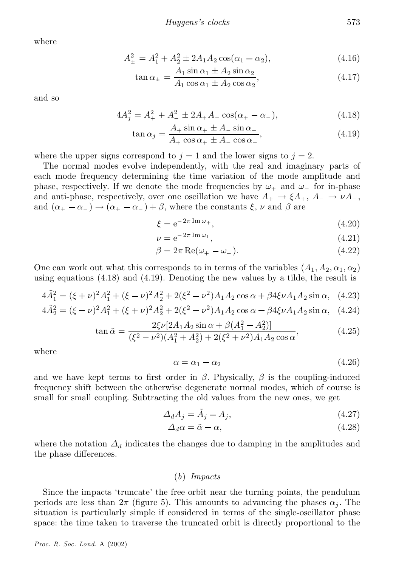where

$$
A_{\pm}^2 = A_1^2 + A_2^2 \pm 2A_1 A_2 \cos(\alpha_1 - \alpha_2), \tag{4.16}
$$

$$
\tan \alpha_{\pm} = \frac{A_1 \sin \alpha_1 \pm A_2 \sin \alpha_2}{A_1 \cos \alpha_1 \pm A_2 \cos \alpha_2},\tag{4.17}
$$

and so

$$
4A_j^2 = A_+^2 + A_-^2 \pm 2A_+A_- \cos(\alpha_+ - \alpha_-), \tag{4.18}
$$

$$
\tan \alpha_j = \frac{A_+ \sin \alpha_+ \pm A_- \sin \alpha_-}{A_+ \cos \alpha_+ \pm A_- \cos \alpha_-},\tag{4.19}
$$

where the upper signs correspond to  $j = 1$  and the lower signs to  $j = 2$ .

The normal modes evolve independently, with the real and imaginary parts of each mode frequency determining the time variation of the mode amplitude and phase, respectively. If we denote the mode frequencies by  $\omega_+$  and  $\omega_-$  for in-phase and anti-phase, respectively, over one oscillation we have  $A_+ \to \xi A_+$ ,  $A_- \to \nu A_-$ , and  $(\alpha_+ - \alpha_-) \rightarrow (\alpha_+ - \alpha_-) + \beta$ , where the constants  $\xi$ ,  $\nu$  and  $\beta$  are

$$
\xi = e^{-2\pi \operatorname{Im}\omega_{+}},\tag{4.20}
$$

$$
\nu = e^{-2\pi \operatorname{Im}\omega_1},\tag{4.21}
$$

$$
\beta = 2\pi \operatorname{Re}(\omega_+ - \omega_-). \tag{4.22}
$$

One can work out what this corresponds to in terms of the variables  $(A_1, A_2, \alpha_1, \alpha_2)$ using equations (4.18) and (4.19). Denoting the new values by a tilde, the result is

$$
4\tilde{A}_1^2 = (\xi + \nu)^2 A_1^2 + (\xi - \nu)^2 A_2^2 + 2(\xi^2 - \nu^2) A_1 A_2 \cos \alpha + \beta 4\xi \nu A_1 A_2 \sin \alpha, \quad (4.23)
$$

$$
4\tilde{A}_2^2 = (\xi - \nu)^2 A_1^2 + (\xi + \nu)^2 A_2^2 + 2(\xi^2 - \nu^2) A_1 A_2 \cos \alpha - \beta 4 \xi \nu A_1 A_2 \sin \alpha, \quad (4.24)
$$

$$
\tan \tilde{\alpha} = \frac{2\xi\nu[2A_1A_2\sin\alpha + \beta(A_1^2 - A_2^2)]}{(\xi^2 - \nu^2)(A_1^2 + A_2^2) + 2(\xi^2 + \nu^2)A_1A_2\cos\alpha},
$$
(4.25)

where

$$
\alpha = \alpha_1 - \alpha_2 \tag{4.26}
$$

and we have kept terms to first order in  $\beta$ . Physically,  $\beta$  is the coupling-induced frequency shift between the otherwise degenerate normal modes, which of course is small for small coupling. Subtracting the old values from the new ones, we get

$$
\Delta_d A_j = \tilde{A}_j - A_j,\tag{4.27}
$$

$$
\Delta_d \alpha = \tilde{\alpha} - \alpha,\tag{4.28}
$$

where the notation  $\Delta_d$  indicates the changes due to damping in the amplitudes and the phase differences.

# (*b*) *Impacts*

Since the impacts 'truncate' the free orbit near the turning points, the pendulum periods are less than  $2\pi$  (figure 5). This amounts to advancing the phases  $\alpha_i$ . The situation is particularly simple if considered in terms of the single-oscillator phase space: the time taken to traverse the truncated orbit is directly proportional to the

*Proc. R. Soc. Lond.* A (2002)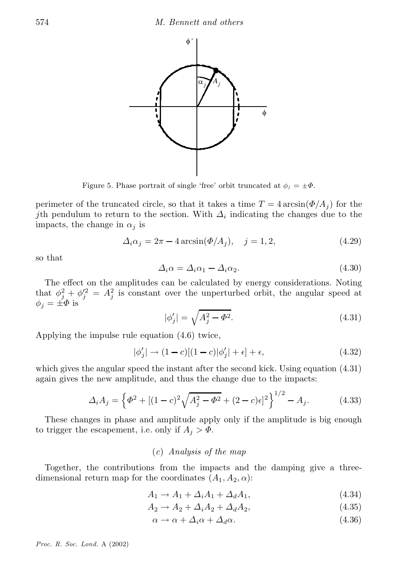

Figure 5. Phase portrait of single 'free' orbit truncated at  $\phi_j = \pm \Phi$ .

perimeter of the truncated circle, so that it takes a time  $T = 4 \arcsin(\Phi/A_i)$  for the *j*th pendulum to return to the section. With  $\Delta_i$  indicating the changes due to the impacts, the change in  $\alpha_j$  is

$$
\Delta_i \alpha_j = 2\pi - 4\arcsin(\Phi/A_j), \quad j = 1, 2,
$$
\n(4.29)

so that

$$
\Delta_i \alpha = \Delta_i \alpha_1 - \Delta_i \alpha_2. \tag{4.30}
$$

The effect on the amplitudes can be calculated by energy considerations. Noting that  $\phi_j^2 + \phi_j'^2 = A_j^2$  is constant over the unperturbed orbit, the angular speed at  $\phi_i = \pm \Phi$  is

$$
|\phi_j'| = \sqrt{A_j^2 - \Phi^2}.
$$
\n(4.31)

Applying the impulse rule equation (4.6) twice,

$$
|\phi_j'| \to (1-c)[(1-c)|\phi_j'| + \epsilon] + \epsilon,\tag{4.32}
$$

which gives the angular speed the instant after the second kick. Using equation (4.31) again gives the new amplitude, and thus the change due to the impacts:

$$
\Delta_i A_j = \left\{ \Phi^2 + \left[ (1-c)^2 \sqrt{A_j^2 - \Phi^2} + (2-c)\epsilon \right]^2 \right\}^{1/2} - A_j. \tag{4.33}
$$

These changes in phase and amplitude apply only if the amplitude is big enough to trigger the escapement, i.e. only if  $A_j > \Phi$ .

#### (*c*) *Analysis of the map*

Together, the contributions from the impacts and the damping give a threedimensional return map for the coordinates  $(A_1, A_2, \alpha)$ :

$$
A_1 \rightarrow A_1 + \Delta_i A_1 + \Delta_d A_1, \tag{4.34}
$$

$$
A_2 \to A_2 + \Delta_i A_2 + \Delta_d A_2,\tag{4.35}
$$

$$
\alpha \to \alpha + \Delta_i \alpha + \Delta_d \alpha. \tag{4.36}
$$

*Proc. R. Soc. Lond.* A (2002)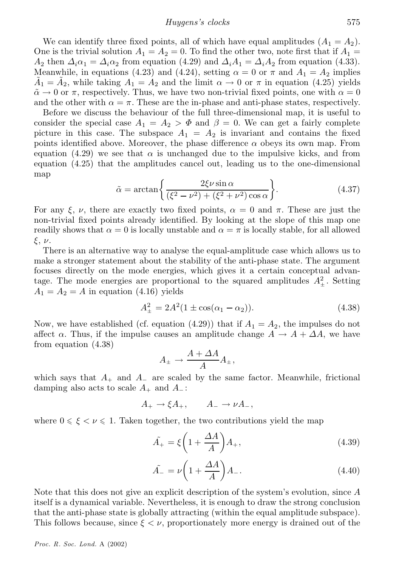#### *Huygens's clocks* 575

We can identify three fixed points, all of which have equal amplitudes  $(A_1 = A_2)$ . One is the trivial solution  $A_1 = A_2 = 0$ . To find the other two, note first that if  $A_1 =$  $A_2$  then  $\Delta_i\alpha_1 = \Delta_i\alpha_2$  from equation (4.29) and  $\Delta_iA_1 = \Delta_iA_2$  from equation (4.33). Meanwhile, in equations (4.23) and (4.24), setting  $\alpha = 0$  or  $\pi$  and  $A_1 = A_2$  implies  $\tilde{A}_1 = \tilde{A}_2$ , while taking  $A_1 = A_2$  and the limit  $\alpha \to 0$  or  $\pi$  in equation (4.25) yields  $\tilde{\alpha} \rightarrow 0$  or  $\pi$ , respectively. Thus, we have two non-trivial fixed points, one with  $\alpha = 0$ and the other with  $\alpha = \pi$ . These are the in-phase and anti-phase states, respectively.

Before we discuss the behaviour of the full three-dimensional map, it is useful to consider the special case  $A_1 = A_2 > \Phi$  and  $\beta = 0$ . We can get a fairly complete picture in this case. The subspace  $A_1 = A_2$  is invariant and contains the fixed points identified above. Moreover, the phase difference  $\alpha$  obeys its own map. From equation (4.29) we see that  $\alpha$  is unchanged due to the impulsive kicks, and from equation (4.25) that the amplitudes cancel out, leading us to the one-dimensional map

$$
\tilde{\alpha} = \arctan\left\{\frac{2\xi\nu\sin\alpha}{(\xi^2 - \nu^2) + (\xi^2 + \nu^2)\cos\alpha}\right\}.
$$
\n(4.37)

For any  $\xi$ ,  $\nu$ , there are exactly two fixed points,  $\alpha = 0$  and  $\pi$ . These are just the non-trivial fixed points already identified. By looking at the slope of this map one readily shows that  $\alpha = 0$  is locally unstable and  $\alpha = \pi$  is locally stable, for all allowed  $\xi, \nu.$ 

There is an alternative way to analyse the equal-amplitude case which allows us to make a stronger statement about the stability of the anti-phase state. The argument focuses directly on the mode energies, which gives it a certain conceptual advantage. The mode energies are proportional to the squared amplitudes  $A_{\pm}^2$ . Setting  $A_1 = A_2 = A$  in equation (4.16) yields

$$
A_{\pm}^{2} = 2A^{2}(1 \pm \cos(\alpha_{1} - \alpha_{2})). \tag{4.38}
$$

Now, we have established (cf. equation (4.29)) that if  $A_1 = A_2$ , the impulses do not affect  $\alpha$ . Thus, if the impulse causes an amplitude change  $A \rightarrow A + \Delta A$ , we have from equation (4.38)

$$
A_{\pm} \rightarrow \frac{A + \Delta A}{A} A_{\pm},
$$

which says that  $A_+$  and  $A_-$  are scaled by the same factor. Meanwhile, frictional damping also acts to scale  $A_+$  and  $A_-$ :

$$
A_+ \to \xi A_+, \qquad A_- \to \nu A_-,
$$

where  $0 \le \xi \le \nu \le 1$ . Taken together, the two contributions yield the map

$$
\tilde{A}_{+} = \xi \left( 1 + \frac{\Delta A}{A} \right) A_{+},\tag{4.39}
$$

$$
\tilde{A}_{-} = \nu \left( 1 + \frac{\Delta A}{A} \right) A_{-}.
$$
\n(4.40)

Note that this does not give an explicit description of the system's evolution, since  $A$ itself is a dynamical variable. Nevertheless, it is enough to draw the strong conclusion that the anti-phase state is globally attracting (within the equal amplitude subspace). This follows because, since  $\xi < \nu$ , proportionately more energy is drained out of the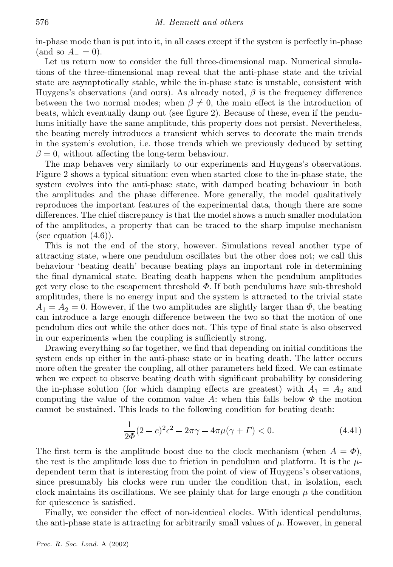in-phase mode than is put into it, in all cases except if the system is perfectly in-phase (and so  $A_-=0$ ).

Let us return now to consider the full three-dimensional map. Numerical simulations of the three-dimensional map reveal that the anti-phase state and the trivial state are asymptotically stable, while the in-phase state is unstable, consistent with Huygens's observations (and ours). As already noted,  $\beta$  is the frequency difference between the two normal modes; when  $\beta \neq 0$ , the main effect is the introduction of beats, which eventually damp out (see figure 2). Because of these, even if the pendulums initially have the same amplitude, this property does not persist. Nevertheless, the beating merely introduces a transient which serves to decorate the main trends in the system's evolution, i.e. those trends which we previously deduced by setting  $\beta = 0$ , without affecting the long-term behaviour.

The map behaves very similarly to our experiments and Huygens's observations. Figure 2 shows a typical situation: even when started close to the in-phase state, the system evolves into the anti-phase state, with damped beating behaviour in both the amplitudes and the phase difference. More generally, the model qualitatively reproduces the important features of the experimental data, though there are some differences. The chief discrepancy is that the model shows a much smaller modulation of the amplitudes, a property that can be traced to the sharp impulse mechanism (see equation  $(4.6)$ ).

This is not the end of the story, however. Simulations reveal another type of attracting state, where one pendulum oscillates but the other does not; we call this behaviour `beating death' because beating plays an important role in determining the final dynamical state. Beating death happens when the pendulum amplitudes get very close to the escapement threshold  $\Phi$ . If both pendulums have sub-threshold amplitudes, there is no energy input and the system is attracted to the trivial state  $A_1 = A_2 = 0$ . However, if the two amplitudes are slightly larger than  $\Phi$ , the beating can introduce a large enough difference between the two so that the motion of one pendulum dies out while the other does not. This type of nal state is also observed in our experiments when the coupling is sufficiently strong.

Drawing everything so far together, we find that depending on initial conditions the system ends up either in the anti-phase state or in beating death. The latter occurs more often the greater the coupling, all other parameters held fixed. We can estimate when we expect to observe beating death with significant probability by considering the in-phase solution (for which damping effects are greatest) with  $A_1 = A_2$  and computing the value of the common value A: when this falls below  $\Phi$  the motion cannot be sustained. This leads to the following condition for beating death:

$$
\frac{1}{2\Phi}(2-c)^2\epsilon^2 - 2\pi\gamma - 4\pi\mu(\gamma + \Gamma) < 0. \tag{4.41}
$$

The first term is the amplitude boost due to the clock mechanism (when  $A = \Phi$ ), the rest is the amplitude loss due to friction in pendulum and platform. It is the  $\mu$ dependent term that is interesting from the point of view of Huygens's observations, since presumably his clocks were run under the condition that, in isolation, each clock maintains its oscillations. We see plainly that for large enough  $\mu$  the condition for quiescence is satisfied.

Finally, we consider the effect of non-identical clocks. With identical pendulums, the anti-phase state is attracting for arbitrarily small values of  $\mu$ . However, in general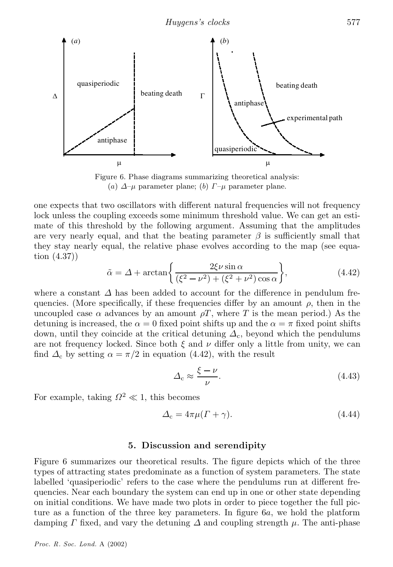

Figure 6. Phase diagrams summarizing theoretical analysis: (a)  $\Delta-\mu$  parameter plane; (b)  $\Gamma-\mu$  parameter plane.

one expects that two oscillators with different natural frequencies will not frequency lock unless the coupling exceeds some minimum threshold value. We can get an estimate of this threshold by the following argument. Assuming that the amplitudes are very nearly equal, and that the beating parameter  $\beta$  is sufficiently small that they stay nearly equal, the relative phase evolves according to the map (see equation (4.37))

$$
\tilde{\alpha} = \Delta + \arctan\left\{\frac{2\xi\nu\sin\alpha}{(\xi^2 - \nu^2) + (\xi^2 + \nu^2)\cos\alpha}\right\},\tag{4.42}
$$

where a constant  $\Delta$  has been added to account for the difference in pendulum frequencies. (More specifically, if these frequencies differ by an amount  $\rho$ , then in the uncoupled case  $\alpha$  advances by an amount  $\rho T$ , where T is the mean period.) As the detuning is increased, the  $\alpha = 0$  fixed point shifts up and the  $\alpha = \pi$  fixed point shifts down, until they coincide at the critical detuning  $\Delta_c$ , beyond which the pendulums are not frequency locked. Since both  $\xi$  and  $\nu$  differ only a little from unity, we can find  $\Delta_c$  by setting  $\alpha = \pi/2$  in equation (4.42), with the result

$$
\Delta_{\rm c} \approx \frac{\xi - \nu}{\nu}.\tag{4.43}
$$

For example, taking  $\Omega^2 \ll 1$ , this becomes

$$
\Delta_{\rm c} = 4\pi\mu(\Gamma + \gamma). \tag{4.44}
$$

#### 5. Discussion and serendipity

Figure 6 summarizes our theoretical results. The figure depicts which of the three types of attracting states predominate as a function of system parameters. The state labelled 'quasiperiodic' refers to the case where the pendulums run at different frequencies. Near each boundary the system can end up in one or other state depending on initial conditions. We have made two plots in order to piece together the full picture as a function of the three key parameters. In figure  $6a$ , we hold the platform damping  $\Gamma$  fixed, and vary the detuning  $\Delta$  and coupling strength  $\mu$ . The anti-phase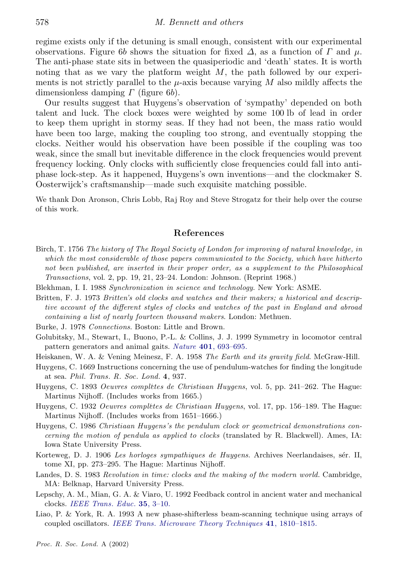regime exists only if the detuning is small enough, consistent with our experimental observations. Figure 6b shows the situation for fixed  $\Delta$ , as a function of  $\Gamma$  and  $\mu$ . The anti-phase state sits in between the quasiperiodic and `death' states. It is worth noting that as we vary the platform weight  $M$ , the path followed by our experiments is not strictly parallel to the  $\mu$ -axis because varying M also mildly affects the dimensionless damping  $\Gamma$  (figure 6b).

Our results suggest that Huygens's observation of `sympathy' depended on both talent and luck. The clock boxes were weighted by some 100 lb of lead in order to keep them upright in stormy seas. If they had not been, the mass ratio would have been too large, making the coupling too strong, and eventually stopping the clocks. Neither would his observation have been possible if the coupling was too weak, since the small but inevitable difference in the clock frequencies would prevent frequency locking. Only clocks with sufficiently close frequencies could fall into antiphase lock-step. As it happened, Huygens's own inventions—and the clockmaker S. Oosterwijck's craftsmanship—made such exquisite matching possible.

We thank Don Aronson, Chris Lobb, Raj Roy and Steve Strogatz for their help over the course of this work.

# References

- Birch, T. 1756 *The history of The Royal Society of London for improving of natural knowledge, in which the most considerable of those papers communicated to the Society, which have hitherto not been published, are inserted in their proper order, as a supplement to the Philosophical Transactions*, vol. 2, pp. 19, 21, 23–24. London: Johnson. (Reprint 1968.)
- Blekhman, I. I. 1988 *Synchronization in science and technology*. New York: ASME.
- Britten, F. J. 1973 *Britten's old clocks and watches and their makers; a historical and descriptive account of the di®erent styles of clocks and watches of the past in England and abroad containing a list of nearly fourteen thousand makers*. London: Methuen.
- Burke, J. 1978 *Connections*. Boston: Little and Brown.
- Golubitsky, M., Stewart, I., Buono, P.-L. & Collins, J. J. 1999 Symmetry in locomotor central pattern generators and animal gaits. *Nature* 401, 693-695.
- Heiskanen, W. A. & Vening Meinesz, F. A. 1958 *The Earth and its gravity ¯eld*. McGraw-Hill.
- Huygens, C. 1669 Instructions concerning the use of pendulum-watches for finding the longitude at sea. *Phil. Trans. R. Soc. Lond.* 4, 937.
- Huygens, C. 1893 *Oeuvres complètes de Christiaan Huygens*, vol. 5, pp. 241–262. The Hague: Martinus Nijhoff. (Includes works from 1665.)
- Huygens, C. 1932 *Oeuvres complètes de Christiaan Huygens*, vol. 17, pp. 156–189. The Hague: Martinus Nijhoff. (Includes works from  $1651-1666$ .)
- Huygens, C. 1986 *Christiaan Huygens's the pendulum clock or geometrical demonstrations con cerning the motion of pendula as applied to clocks* (translated by R. Blackwell). Ames, IA: Iowa State University Press.
- Korteweg, D. J. 1906 *Les horloges sympathiques de Huygens*. Archives Neerlandaises, sér. II, tome XI, pp. 273–295. The Hague: Martinus Nijhoff.
- Landes, D. S. 1983 *Revolution in time: clocks and the making of the modern world*. Cambridge, MA: Belknap, Harvard University Press.
- Lepschy, A. M., Mian, G. A. & Viaro, U. 1992 Feedback control in ancient water and mechanical clocks. *IEEE [Trans.](http://pippo.ingentaselect.com/nw=1/rpsv/cgi-bin/linker?ext=a&reqidx=/0018-9359^28^2935L.3[aid=2056335]) Educ.* 35, 3{10.
- Liao, P. & York, R. A. 1993 A new phase-shifterless beam-scanning technique using arrays of coupled oscillators. *IEEE Trans. Microwave Theory [Techniques](http://pippo.ingentaselect.com/nw=1/rpsv/cgi-bin/linker?ext=a&reqidx=/0018-9480^28^2941L.1810[aid=2056336])* 41, 1810–1815.